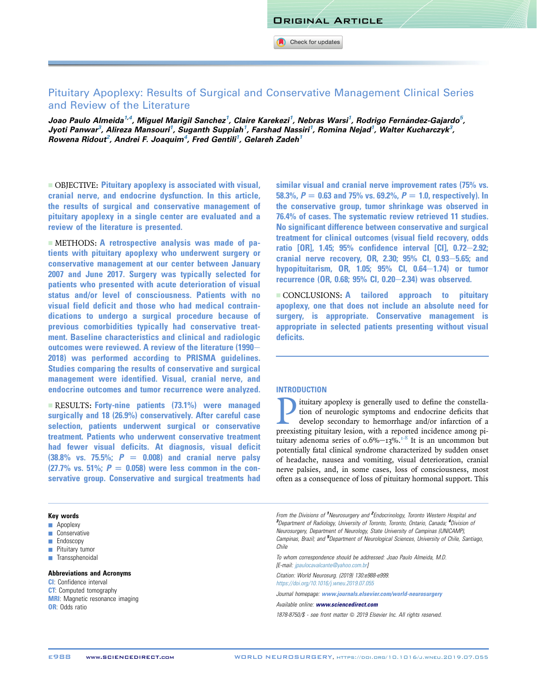Check for updates

# Pituitary Apoplexy: Results of Surgical and Conservative Management Clinical Series and Review of the Literature

Joao Paulo Almeida<sup>1,4</sup>, Miguel Marigil Sanchez<sup>1</sup>, Claire Karekezi<sup>1</sup>, Nebras Warsi<sup>1</sup>, Rodrigo Fernández-Gajardo<sup>5</sup>, Jyoti Panwar<sup>3</sup>, Alireza Mansouri<sup>1</sup>, Suganth Suppiah<sup>1</sup>, Farshad Nassiri<sup>1</sup>, Romina Nejad<sup>1</sup>, Walter Kucharczyk<sup>3</sup>, Rowena Ridout<sup>2</sup>, Andrei F. Joaquim<sup>4</sup>, Fred Gentili<sup>1</sup>, Gelareh Zadeh<sup>1</sup>

 $\blacksquare$  OBJECTIVE: Pituitary apoplexy is associated with visual. cranial nerve, and endocrine dysfunction. In this article, the results of surgical and conservative management of pituitary apoplexy in a single center are evaluated and a review of the literature is presented.

 $\blacksquare$  METHODS: A retrospective analysis was made of patients with pituitary apoplexy who underwent surgery or conservative management at our center between January 2007 and June 2017. Surgery was typically selected for patients who presented with acute deterioration of visual status and/or level of consciousness. Patients with no visual field deficit and those who had medical contraindications to undergo a surgical procedure because of previous comorbidities typically had conservative treatment. Baseline characteristics and clinical and radiologic outcomes were reviewed. A review of the literature (1990 $-$ 2018) was performed according to PRISMA guidelines. Studies comparing the results of conservative and surgical management were identified. Visual, cranial nerve, and endocrine outcomes and tumor recurrence were analyzed.

RESULTS: Forty-nine patients (73.1%) were managed surgically and 18 (26.9%) conservatively. After careful case selection, patients underwent surgical or conservative treatment. Patients who underwent conservative treatment had fewer visual deficits. At diagnosis, visual deficit  $(38.8\% \text{ vs. } 75.5\%; P = 0.008)$  and cranial nerve palsy (27.7% vs. 51%;  $P = 0.058$ ) were less common in the conservative group. Conservative and surgical treatments had

#### Key words

- **Apoplexy**
- **Conservative**
- **Endoscopy**
- **Pituitary tumor**
- Transsphenoidal

#### Abbreviations and Acronyms

CI: Confidence interval **CT:** Computed tomography **MRI:** Magnetic resonance imaging **OR:** Odds ratio

similar visual and cranial nerve improvement rates (75% vs. 58.3%,  $P = 0.63$  and 75% vs. 69.2%,  $P = 1.0$ , respectively). In the conservative group, tumor shrinkage was observed in 76.4% of cases. The systematic review retrieved 11 studies. No significant difference between conservative and surgical treatment for clinical outcomes (visual field recovery, odds ratio  $[OR]$ , 1.45; 95% confidence interval  $[CI]$ , 0.72-2.92; cranial nerve recovery, OR, 2.30;  $95\%$  CI, 0.93-5.65; and hypopituitarism, OR, 1.05;  $95\%$  Cl, 0.64-1.74) or tumor recurrence (OR, 0.68; 95% CI, 0.20 $-2.34$ ) was observed.

- CONCLUSIONS: A tailored approach to pituitary apoplexy, one that does not include an absolute need for surgery, is appropriate. Conservative management is appropriate in selected patients presenting without visual deficits.

# INTRODUCTION

**P**ituitary apoplexy is generally used to define the constellation of neurologic symptoms and endocrine deficits that develop secondary to hemorrhage and/or infarction of a preexisting pituitary lesion, with a reported inc tion of neurologic symptoms and endocrine deficits that develop secondary to hemorrhage and/or infarction of a tuitary adenoma series of  $0.6\% - 13\%$ .<sup>[1-8](#page-10-0)</sup> It is an uncommon but potentially fatal clinical syndrome characterized by sudden onset of headache, nausea and vomiting, visual deterioration, cranial nerve palsies, and, in some cases, loss of consciousness, most often as a consequence of loss of pituitary hormonal support. This

From the Divisions of <sup>1</sup>Neurosurgery and <sup>2</sup>Endocrinology, Toronto Western Hospital and <sup>3</sup>Department of Radiology, University of Toronto, Toronto, Ontario, Canada; <sup>4</sup>Division of Neurosurgery, Department of Neurology, State University of Campinas (UNICAMP), Campinas, Brazil; and <sup>5</sup>Department of Neurological Sciences, University of Chile, Santiago, Chile

To whom correspondence should be addressed: Joao Paulo Almeida, M.D. [E-mail: [jpaulocavalcante@yahoo.com.br](mailto:jpaulocavalcante@yahoo.com.br)]

Citation: World Neurosurg. (2019) 130:e988-e999. <https://doi.org/10.1016/j.wneu.2019.07.055>

Journal homepage: <www.journals.elsevier.com/world-neurosurgery>

Available online: [www.sciencedirect.com](www.sciencedirect.com/science/journal/18788750)

1878-8750/\$ - see front matter @ 2019 Elsevier Inc. All rights reserved.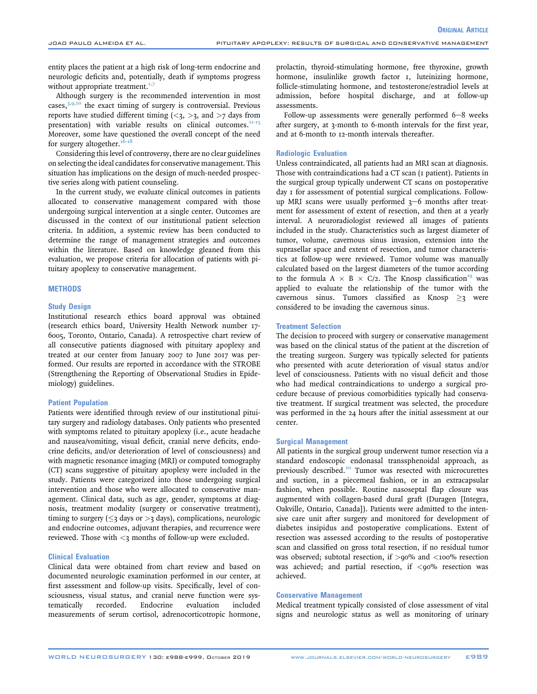entity places the patient at a high risk of long-term endocrine and neurologic deficits and, potentially, death if symptoms progress without appropriate treatment. $1,7$ 

Although surgery is the recommended intervention in most cases, $3,9,10$  the exact timing of surgery is controversial. Previous reports have studied different timing  $\langle \langle 3, \rangle \rangle$  and  $\langle \rangle$  days from presentation) with variable results on clinical outcomes.<sup>[11-15](#page-10-0)</sup> Moreover, some have questioned the overall concept of the need for surgery altogether. $^{16-18}$  $^{16-18}$  $^{16-18}$ 

Considering this level of controversy, there are no clear guidelines on selecting the ideal candidates for conservative management. This situation has implications on the design of much-needed prospective series along with patient counseling.

In the current study, we evaluate clinical outcomes in patients allocated to conservative management compared with those undergoing surgical intervention at a single center. Outcomes are discussed in the context of our institutional patient selection criteria. In addition, a systemic review has been conducted to determine the range of management strategies and outcomes within the literature. Based on knowledge gleaned from this evaluation, we propose criteria for allocation of patients with pituitary apoplexy to conservative management.

#### **METHODS**

#### Study Design

Institutional research ethics board approval was obtained (research ethics board, University Health Network number 17- 6005, Toronto, Ontario, Canada). A retrospective chart review of all consecutive patients diagnosed with pituitary apoplexy and treated at our center from January 2007 to June 2017 was performed. Our results are reported in accordance with the STROBE (Strengthening the Reporting of Observational Studies in Epidemiology) guidelines.

# Patient Population

Patients were identified through review of our institutional pituitary surgery and radiology databases. Only patients who presented with symptoms related to pituitary apoplexy (i.e., acute headache and nausea/vomiting, visual deficit, cranial nerve deficits, endocrine deficits, and/or deterioration of level of consciousness) and with magnetic resonance imaging (MRI) or computed tomography (CT) scans suggestive of pituitary apoplexy were included in the study. Patients were categorized into those undergoing surgical intervention and those who were allocated to conservative management. Clinical data, such as age, gender, symptoms at diagnosis, treatment modality (surgery or conservative treatment), timing to surgery ( $\leq$ 3 days or  $>$ 3 days), complications, neurologic and endocrine outcomes, adjuvant therapies, and recurrence were reviewed. Those with  $\langle 3 \rangle$  months of follow-up were excluded.

### Clinical Evaluation

Clinical data were obtained from chart review and based on documented neurologic examination performed in our center, at first assessment and follow-up visits. Specifically, level of consciousness, visual status, and cranial nerve function were sys-<br>tematically recorded. Endocrine evaluation included tematically recorded. Endocrine evaluation included measurements of serum cortisol, adrenocorticotropic hormone,

prolactin, thyroid-stimulating hormone, free thyroxine, growth hormone, insulinlike growth factor 1, luteinizing hormone, follicle-stimulating hormone, and testosterone/estradiol levels at admission, before hospital discharge, and at follow-up assessments.

**ORIGINAL ARTICLE** 

Follow-up assessments were generally performed  $6-8$  weeks after surgery, at 3-month to 6-month intervals for the first year, and at 6-month to 12-month intervals thereafter.

#### Radiologic Evaluation

Unless contraindicated, all patients had an MRI scan at diagnosis. Those with contraindications had a CT scan (1 patient). Patients in the surgical group typically underwent CT scans on postoperative day 1 for assessment of potential surgical complications. Followup MRI scans were usually performed  $3-6$  months after treatment for assessment of extent of resection, and then at a yearly interval. A neuroradiologist reviewed all images of patients included in the study. Characteristics such as largest diameter of tumor, volume, cavernous sinus invasion, extension into the suprasellar space and extent of resection, and tumor characteristics at follow-up were reviewed. Tumor volume was manually calculated based on the largest diameters of the tumor according to the formula A  $\times$  B  $\times$  C/2. The Knosp classification<sup>[19](#page-10-0)</sup> was applied to evaluate the relationship of the tumor with the cavernous sinus. Tumors classified as Knosp  $\geq$  were considered to be invading the cavernous sinus.

## Treatment Selection

The decision to proceed with surgery or conservative management was based on the clinical status of the patient at the discretion of the treating surgeon. Surgery was typically selected for patients who presented with acute deterioration of visual status and/or level of consciousness. Patients with no visual deficit and those who had medical contraindications to undergo a surgical procedure because of previous comorbidities typically had conservative treatment. If surgical treatment was selected, the procedure was performed in the 24 hours after the initial assessment at our center.

#### Surgical Management

All patients in the surgical group underwent tumor resection via a standard endoscopic endonasal transsphenoidal approach, as previously described.<sup>[20](#page-10-0)</sup> Tumor was resected with microcurettes and suction, in a piecemeal fashion, or in an extracapsular fashion, when possible. Routine nasoseptal flap closure was augmented with collagen-based dural graft (Duragen [Integra, Oakville, Ontario, Canada]). Patients were admitted to the intensive care unit after surgery and monitored for development of diabetes insipidus and postoperative complications. Extent of resection was assessed according to the results of postoperative scan and classified on gross total resection, if no residual tumor was observed; subtotal resection, if  $> 90\%$  and  $< 100\%$  resection was achieved; and partial resection, if  $\langle 90\%$  resection was achieved.

#### Conservative Management

Medical treatment typically consisted of close assessment of vital signs and neurologic status as well as monitoring of urinary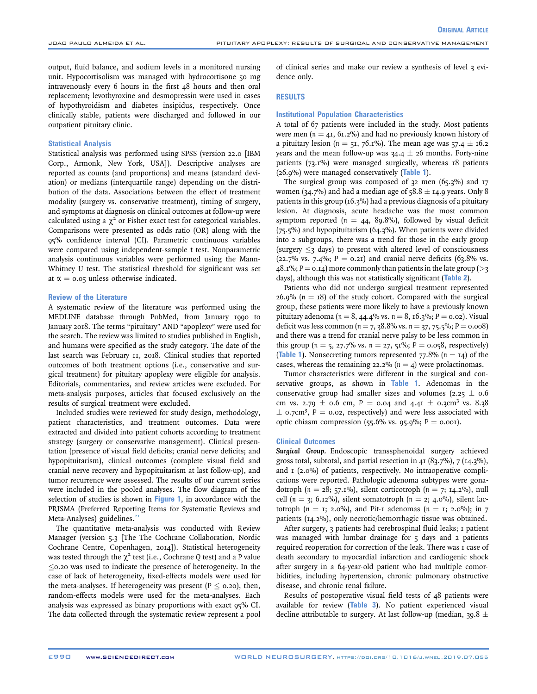output, fluid balance, and sodium levels in a monitored nursing unit. Hypocortisolism was managed with hydrocortisone 50 mg intravenously every 6 hours in the first 48 hours and then oral replacement; levothyroxine and desmopressin were used in cases of hypothyroidism and diabetes insipidus, respectively. Once clinically stable, patients were discharged and followed in our outpatient pituitary clinic.

# Statistical Analysis

Statistical analysis was performed using SPSS (version 22.0 [IBM Corp., Armonk, New York, USA]). Descriptive analyses are reported as counts (and proportions) and means (standard deviation) or medians (interquartile range) depending on the distribution of the data. Associations between the effect of treatment modality (surgery vs. conservative treatment), timing of surgery, and symptoms at diagnosis on clinical outcomes at follow-up were calculated using a  $\chi^2$  or Fisher exact test for categorical variables. Comparisons were presented as odds ratio (OR) along with the 95% confidence interval (CI). Parametric continuous variables were compared using independent-sample t test. Nonparametric analysis continuous variables were performed using the Mann-Whitney U test. The statistical threshold for significant was set at  $\alpha = 0.05$  unless otherwise indicated.

# Review of the Literature

A systematic review of the literature was performed using the MEDLINE database through PubMed, from January 1990 to January 2018. The terms "pituitary" AND "apoplexy" were used for the search. The review was limited to studies published in English, and humans were specified as the study category. The date of the last search was February 11, 2018. Clinical studies that reported outcomes of both treatment options (i.e., conservative and surgical treatment) for pituitary apoplexy were eligible for analysis. Editorials, commentaries, and review articles were excluded. For meta-analysis purposes, articles that focused exclusively on the results of surgical treatment were excluded.

Included studies were reviewed for study design, methodology, patient characteristics, and treatment outcomes. Data were extracted and divided into patient cohorts according to treatment strategy (surgery or conservative management). Clinical presentation (presence of visual field deficits; cranial nerve deficits; and hypopituitarism), clinical outcomes (complete visual field and cranial nerve recovery and hypopituitarism at last follow-up), and tumor recurrence were assessed. The results of our current series were included in the pooled analyses. The flow diagram of the selection of studies is shown in **[Figure 1](#page-3-0)**, in accordance with the PRISMA (Preferred Reporting Items for Systematic Reviews and Meta-Analyses) guidelines. $2I$ 

The quantitative meta-analysis was conducted with Review Manager (version 5.3 [The The Cochrane Collaboration, Nordic Cochrane Centre, Copenhagen, 2014]). Statistical heterogeneity was tested through the  $\chi^2$  test (i.e., Cochrane Q test) and a P value  $\leq$ 0.20 was used to indicate the presence of heterogeneity. In the case of lack of heterogeneity, fixed-effects models were used for the meta-analyses. If heterogeneity was present ( $P \le 0.20$ ), then, random-effects models were used for the meta-analyses. Each analysis was expressed as binary proportions with exact 95% CI. The data collected through the systematic review represent a pool

of clinical series and make our review a synthesis of level 3 evidence only.

**ORIGINAL ARTICLE** 

# RESULTS

## Institutional Population Characteristics

A total of 67 patients were included in the study. Most patients were men ( $n = 41$ , 61.2%) and had no previously known history of a pituitary lesion ( $n = \frac{51}{76}$ , 76.1%). The mean age was  $\frac{57.4 \pm 16.2}{3}$ years and the mean follow-up was  $34.4 \pm 26$  months. Forty-nine patients (73.1%) were managed surgically, whereas 18 patients (26.9%) were managed conservatively ([Table 1](#page-4-0)).

The surgical group was composed of 32 men (65.3%) and 17 women (34.7%) and had a median age of  $58.8 \pm 14.9$  years. Only 8 patients in this group (16.3%) had a previous diagnosis of a pituitary lesion. At diagnosis, acute headache was the most common symptom reported ( $n = 44$ , 89.8%), followed by visual deficit (75.5%) and hypopituitarism (64.3%). When patients were divided into 2 subgroups, there was a trend for those in the early group (surgery  $\leq$  adays) to present with altered level of consciousness (22.7% vs. 7.4%;  $P = 0.21$ ) and cranial nerve deficits (63.8% vs.  $48.1\%$ ; P = 0.14) more commonly than patients in the late group (>3) days), although this was not statistically significant ([Table 2](#page-5-0)).

Patients who did not undergo surgical treatment represented  $26.9\%$  (n = 18) of the study cohort. Compared with the surgical group, these patients were more likely to have a previously known pituitary adenoma (n = 8, 44.4% vs. n = 8, 16.3%; P = 0.02). Visual deficit was less common ( $n = 7, 38.8\%$  vs.  $n = 37, 75.5\%$ ;  $P = 0.008$ ) and there was a trend for cranial nerve palsy to be less common in this group ( $n = 5$ , 27.7% vs.  $n = 27$ ,  $51\%$ ;  $P = 0.058$ , respectively) **([Table 1](#page-4-0)).** Nonsecreting tumors represented  $77.8\%$  ( $n = 14$ ) of the cases, whereas the remaining 22.2% ( $n = 4$ ) were prolactinomas.

Tumor characteristics were different in the surgical and conservative groups, as shown in **[Table 1](#page-4-0)**. Adenomas in the conservative group had smaller sizes and volumes (2.25  $\pm$  0.6 cm vs. 2.79  $\pm$  0.6 cm, P = 0.04 and 4.41  $\pm$  0.3cm<sup>3</sup> vs. 8.38  $\pm$  0.7cm<sup>3</sup>, P = 0.02, respectively) and were less associated with optic chiasm compression (55.6% vs. 95.9%;  $P = 0.001$ ).

#### Clinical Outcomes

Surgical Group. Endoscopic transsphenoidal surgery achieved gross total, subtotal, and partial resection in  $4I(83.7%)$ ,  $7(14.3%)$ , and 1 (2.0%) of patients, respectively. No intraoperative complications were reported. Pathologic adenoma subtypes were gonadotroph (n = 28; 57.1%), silent corticotroph (n = 7; 14.2%), null cell (n = 3; 6.12%), silent somatotroph (n = 2; 4.0%), silent lactotroph (n = 1; 2.0%), and Pit-1 adenomas (n = 1; 2.0%); in 7 patients (14.2%), only necrotic/hemorrhagic tissue was obtained.

After surgery, 3 patients had cerebrospinal fluid leaks; 1 patient was managed with lumbar drainage for 5 days and 2 patients required reoperation for correction of the leak. There was 1 case of death secondary to myocardial infarction and cardiogenic shock after surgery in a 64-year-old patient who had multiple comorbidities, including hypertension, chronic pulmonary obstructive disease, and chronic renal failure.

Results of postoperative visual field tests of 48 patients were available for review ([Table 3](#page-5-0)). No patient experienced visual decline attributable to surgery. At last follow-up (median, 39.8  $\pm$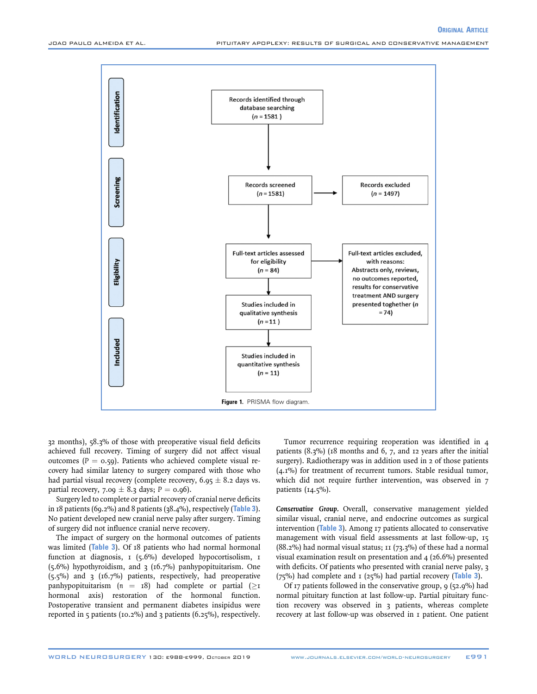<span id="page-3-0"></span>JOAO PAULO ALMEIDA ET AL. PITUITARY APOPLEXY: RESULTS OF SURGICAL AND CONSERVATIVE MANAGEMENT



32 months), 58.3% of those with preoperative visual field deficits achieved full recovery. Timing of surgery did not affect visual outcomes ( $P = 0.59$ ). Patients who achieved complete visual recovery had similar latency to surgery compared with those who had partial visual recovery (complete recovery,  $6.95 \pm 8.2$  days vs. partial recovery, 7.09  $\pm$  8.3 days; P = 0.96).

Surgery led to complete or partial recovery of cranial nerve deficits in  $18$  patients (69.2%) and 8 patients (38.4%), respectively ([Table 3](#page-5-0)). No patient developed new cranial nerve palsy after surgery. Timing of surgery did not influence cranial nerve recovery.

The impact of surgery on the hormonal outcomes of patients was limited ([Table 3](#page-5-0)). Of 18 patients who had normal hormonal function at diagnosis, 1 (5.6%) developed hypocortisolism, 1  $(5.6\%)$  hypothyroidism, and  $3(16.7\%)$  panhypopituitarism. One (5.5%) and 3 (16.7%) patients, respectively, had preoperative panhypopituitarism (n = 18) had complete or partial  $(\geq)$ hormonal axis) restoration of the hormonal function. Postoperative transient and permanent diabetes insipidus were reported in  $\zeta$  patients (10.2%) and  $\zeta$  patients (6.2 $\zeta$ %), respectively.

Tumor recurrence requiring reoperation was identified in 4 patients (8.3%) (18 months and 6, 7, and 12 years after the initial surgery). Radiotherapy was in addition used in 2 of those patients (4.1%) for treatment of recurrent tumors. Stable residual tumor, which did not require further intervention, was observed in 7 patients (14.5%).

Conservative Group. Overall, conservative management yielded similar visual, cranial nerve, and endocrine outcomes as surgical intervention ([Table 3](#page-5-0)). Among 17 patients allocated to conservative management with visual field assessments at last follow-up, 15 (88.2%) had normal visual status; 11 (73.3%) of these had a normal visual examination result on presentation and 4 (26.6%) presented with deficits. Of patients who presented with cranial nerve palsy, 3  $(75%)$  had complete and 1 (25%) had partial recovery ([Table 3](#page-5-0)).

Of 17 patients followed in the conservative group, 9 (52.9%) had normal pituitary function at last follow-up. Partial pituitary function recovery was observed in 3 patients, whereas complete recovery at last follow-up was observed in 1 patient. One patient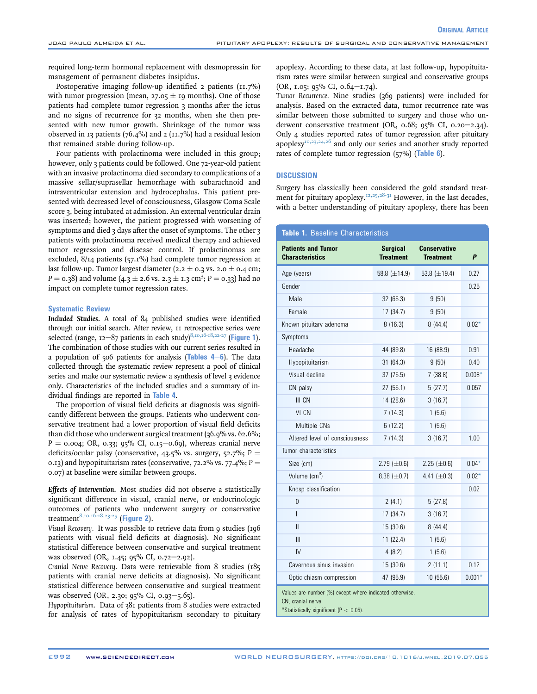<span id="page-4-0"></span>required long-term hormonal replacement with desmopressin for management of permanent diabetes insipidus.

Postoperative imaging follow-up identified 2 patients (11.7%) with tumor progression (mean,  $27.05 \pm 19$  months). One of those patients had complete tumor regression 3 months after the ictus and no signs of recurrence for 32 months, when she then presented with new tumor growth. Shrinkage of the tumor was observed in 13 patients (76.4%) and 2 ( $\text{II.7%}$ ) had a residual lesion that remained stable during follow-up.

Four patients with prolactinoma were included in this group; however, only 3 patients could be followed. One 72-year-old patient with an invasive prolactinoma died secondary to complications of a massive sellar/suprasellar hemorrhage with subarachnoid and intraventricular extension and hydrocephalus. This patient presented with decreased level of consciousness, Glasgow Coma Scale score 3, being intubated at admission. An external ventricular drain was inserted; however, the patient progressed with worsening of symptoms and died 3 days after the onset of symptoms. The other 3 patients with prolactinoma received medical therapy and achieved tumor regression and disease control. If prolactinomas are excluded, 8/14 patients (57.1%) had complete tumor regression at last follow-up. Tumor largest diameter (2.2  $\pm$  0.3 vs. 2.0  $\pm$  0.4 cm;  $P = 0.38$ ) and volume (4.3  $\pm$  2.6 vs. 2.3  $\pm$  1.3 cm<sup>3</sup>; P = 0.33) had no impact on complete tumor regression rates.

# Systematic Review

Included Studies. A total of 84 published studies were identified through our initial search. After review, 11 retrospective series were selected (range,  $12-87$  patients in each study)<sup>8,10,16-18,22-27</sup> ([Figure 1](#page-3-0)). The combination of those studies with our current series resulted in a population of 50[6](#page-6-0) patients for analysis (Tables  $4-6$ ). The data collected through the systematic review represent a pool of clinical series and make our systematic review a synthesis of level 3 evidence only. Characteristics of the included studies and a summary of individual findings are reported in [Table 4](#page-6-0).

The proportion of visual field deficits at diagnosis was significantly different between the groups. Patients who underwent conservative treatment had a lower proportion of visual field deficits than did those who underwent surgical treatment (36.9% vs. 62.6%;  $P = 0.004$ ; OR, 0.33; 95% CI, 0.15–0.69), whereas cranial nerve deficits/ocular palsy (conservative, 43.5% vs. surgery, 52.7%;  $P =$ 0.13) and hypopituitarism rates (conservative,  $72.2\%$  vs.  $77.4\%$ ; P = 0.07) at baseline were similar between groups.

Effects of Intervention. Most studies did not observe a statistically significant difference in visual, cranial nerve, or endocrinologic outcomes of patients who underwent surgery or conservative treatment<sup>[8,10,16-18,23-25](#page-10-0)</sup> ([Figure 2](#page-9-0)).

Visual Recovery. It was possible to retrieve data from 9 studies (196 patients with visual field deficits at diagnosis). No significant statistical difference between conservative and surgical treatment was observed (OR, 1.45;  $95\%$  CI, 0.72-2.92).

Cranial Nerve Recovery. Data were retrievable from 8 studies (185 patients with cranial nerve deficits at diagnosis). No significant statistical difference between conservative and surgical treatment was observed (OR, 2.30; 95% CI, 0.93-5.65).

Hypopituitarism. Data of 381 patients from 8 studies were extracted for analysis of rates of hypopituitarism secondary to pituitary apoplexy. According to these data, at last follow-up, hypopituitarism rates were similar between surgical and conservative groups  $(OR, 1.05; 95\% \text{ CI}, 0.64-1.74).$ 

**ORIGINAL ARTICLE** 

Tumor Recurrence. Nine studies (369 patients) were included for analysis. Based on the extracted data, tumor recurrence rate was similar between those submitted to surgery and those who underwent conservative treatment (OR,  $0.68$ ;  $95\%$  CI,  $0.20-2.34$ ). Only 4 studies reported rates of tumor regression after pituitary apoplexy<sup>10,23,24,26</sup> and only our series and another study reported rates of complete tumor regression  $(57%)$  ([Table 6](#page-8-0)).

#### **DISCUSSION**

Surgery has classically been considered the gold standard treatment for pituitary apoplexy.<sup>12,25,28-31</sup> However, in the last decades, with a better understanding of pituitary apoplexy, there has been

| Table 1. Baseline Characteristics                                                                                           |                                     |                                         |          |  |  |  |  |  |  |
|-----------------------------------------------------------------------------------------------------------------------------|-------------------------------------|-----------------------------------------|----------|--|--|--|--|--|--|
| <b>Patients and Tumor</b><br><b>Characteristics</b>                                                                         | <b>Surgical</b><br><b>Treatment</b> | <b>Conservative</b><br><b>Treatment</b> | P        |  |  |  |  |  |  |
| Age (years)                                                                                                                 | 58.8 $(\pm 14.9)$                   | 53.8 $(\pm 19.4)$                       | 0.27     |  |  |  |  |  |  |
| Gender                                                                                                                      |                                     |                                         | 0.25     |  |  |  |  |  |  |
| Male                                                                                                                        | 32 (65.3)                           | 9(50)                                   |          |  |  |  |  |  |  |
| Female                                                                                                                      | 17(34.7)                            | 9(50)                                   |          |  |  |  |  |  |  |
| Known pituitary adenoma                                                                                                     | 8(16.3)                             | 8(44.4)                                 | $0.02*$  |  |  |  |  |  |  |
| Symptoms                                                                                                                    |                                     |                                         |          |  |  |  |  |  |  |
| Headache                                                                                                                    | 44 (89.8)                           | 16 (88.9)                               | 0.91     |  |  |  |  |  |  |
| Hypopituitarism                                                                                                             | 31(64.3)                            | 9(50)                                   | 0.40     |  |  |  |  |  |  |
| Visual decline                                                                                                              | 37(75.5)                            | 7(38.8)                                 | $0.008*$ |  |  |  |  |  |  |
| CN palsy                                                                                                                    | 27(55.1)                            | 5(27.7)                                 | 0.057    |  |  |  |  |  |  |
| III CN                                                                                                                      | 14 (28.6)                           | 3(16.7)                                 |          |  |  |  |  |  |  |
| VI CN                                                                                                                       | 7(14.3)                             | 1(5.6)                                  |          |  |  |  |  |  |  |
| Multiple CNs                                                                                                                | 6(12.2)                             | 1(5.6)                                  |          |  |  |  |  |  |  |
| Altered level of consciousness                                                                                              | 7(14.3)                             | 3(16.7)                                 | 1.00     |  |  |  |  |  |  |
| Tumor characteristics                                                                                                       |                                     |                                         |          |  |  |  |  |  |  |
| Size (cm)                                                                                                                   | 2.79 $(\pm 0.6)$                    | 2.25 $(\pm 0.6)$                        | $0.04*$  |  |  |  |  |  |  |
| Volume (cm <sup>3</sup> )                                                                                                   | 8.38 $(\pm 0.7)$                    | 4.41 $(\pm 0.3)$                        | $0.02*$  |  |  |  |  |  |  |
| Knosp classification                                                                                                        |                                     |                                         | 0.02     |  |  |  |  |  |  |
| $\overline{0}$                                                                                                              | 2(4.1)                              | 5(27.8)                                 |          |  |  |  |  |  |  |
| T                                                                                                                           | 17(34.7)                            | 3(16.7)                                 |          |  |  |  |  |  |  |
| Ш                                                                                                                           | 15 (30.6)                           | 8(44.4)                                 |          |  |  |  |  |  |  |
| $\mathbb{H}$                                                                                                                | 11 (22.4)                           | 1(5.6)                                  |          |  |  |  |  |  |  |
| $\overline{N}$                                                                                                              | 4(8.2)                              | 1(5.6)                                  |          |  |  |  |  |  |  |
| Cavernous sinus invasion                                                                                                    | 15(30.6)                            | 2(11.1)                                 | 0.12     |  |  |  |  |  |  |
| Optic chiasm compression                                                                                                    | 47 (95.9)                           | 10 (55.6)                               | $0.001*$ |  |  |  |  |  |  |
| Values are number (%) except where indicated otherwise.<br>CN, cranial nerve.<br>*Statistically significant ( $P < 0.05$ ). |                                     |                                         |          |  |  |  |  |  |  |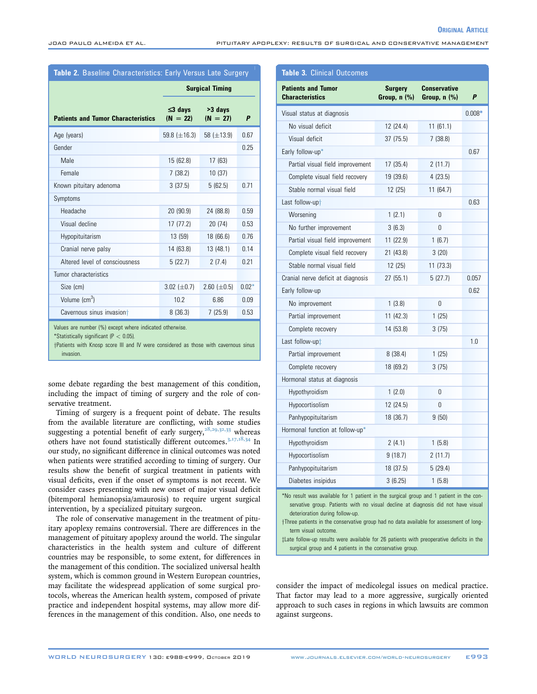**ORIGINAL ARTICLE** 

<span id="page-5-0"></span>

| Table 2. Baseline Characteristics: Early Versus Late Surgery |                             |                       |         |  |  |  |  |  |
|--------------------------------------------------------------|-----------------------------|-----------------------|---------|--|--|--|--|--|
|                                                              | <b>Surgical Timing</b>      |                       |         |  |  |  |  |  |
| <b>Patients and Tumor Characteristics</b>                    | $\leq$ 3 days<br>$(N = 22)$ | >3 days<br>$(N = 27)$ | P       |  |  |  |  |  |
| Age (years)                                                  | 59.8 $(\pm 16.3)$           | 58 $(\pm 13.9)$       | 0.67    |  |  |  |  |  |
| Gender                                                       |                             |                       | 0.25    |  |  |  |  |  |
| Male                                                         | 15(62.8)                    | 17(63)                |         |  |  |  |  |  |
| Female                                                       | 7(38.2)                     | 10(37)                |         |  |  |  |  |  |
| Known pituitary adenoma                                      | 3(37.5)                     | 5(62.5)               | 0.71    |  |  |  |  |  |
| Symptoms                                                     |                             |                       |         |  |  |  |  |  |
| Headache                                                     | 20(90.9)                    | 24 (88.8)             | 0.59    |  |  |  |  |  |
| Visual decline                                               | 17(77.2)                    | 20(74)                | 0.53    |  |  |  |  |  |
| Hypopituitarism                                              | 13(59)                      | 18 (66.6)             | 0.76    |  |  |  |  |  |
| Cranial nerve palsy                                          | 14 (63.8)                   | 13(48.1)              | 0.14    |  |  |  |  |  |
| Altered level of consciousness                               | 5(22.7)                     | 2(7.4)                | 0.21    |  |  |  |  |  |
| Tumor characteristics                                        |                             |                       |         |  |  |  |  |  |
| Size (cm)                                                    | 3.02 $(\pm 0.7)$            | 2.60 $(\pm 0.5)$      | $0.02*$ |  |  |  |  |  |
| Volume (cm <sup>3</sup> )                                    | 10.2                        | 6.86                  | 0.09    |  |  |  |  |  |
| Cavernous sinus invasion <sup>+</sup>                        | 8(36.3)                     | 7(25.9)               | 0.53    |  |  |  |  |  |
| Values are number (%) except where indicated otherwise.      |                             |                       |         |  |  |  |  |  |

\*Statistically significant (P < 0.05).

yPatients with Knosp score III and IV were considered as those with cavernous sinus

invasion.

some debate regarding the best management of this condition, including the impact of timing of surgery and the role of conservative treatment.

Timing of surgery is a frequent point of debate. The results from the available literature are conflicting, with some studies suggesting a potential benefit of early surgery,  $28,29,32,33$  whereas others have not found statistically different outcomes.<sup>[3,17,18,34](#page-10-0)</sup> In our study, no significant difference in clinical outcomes was noted when patients were stratified according to timing of surgery. Our results show the benefit of surgical treatment in patients with visual deficits, even if the onset of symptoms is not recent. We consider cases presenting with new onset of major visual deficit (bitemporal hemianopsia/amaurosis) to require urgent surgical intervention, by a specialized pituitary surgeon.

The role of conservative management in the treatment of pituitary apoplexy remains controversial. There are differences in the management of pituitary apoplexy around the world. The singular characteristics in the health system and culture of different countries may be responsible, to some extent, for differences in the management of this condition. The socialized universal health system, which is common ground in Western European countries, may facilitate the widespread application of some surgical protocols, whereas the American health system, composed of private practice and independent hospital systems, may allow more differences in the management of this condition. Also, one needs to

| <b>Table 3. Clinical Outcomes</b>                            |                                     |                                     |          |
|--------------------------------------------------------------|-------------------------------------|-------------------------------------|----------|
| <b>Patients and Tumor</b><br><b>Characteristics</b>          | <b>Surgery</b><br>Group, $n$ $(\%)$ | <b>Conservative</b><br>Group, n (%) | P        |
| Visual status at diagnosis                                   |                                     |                                     | $0.008*$ |
| No visual deficit                                            | 12 (24.4)                           | 11(61.1)                            |          |
| Visual deficit                                               | 37 (75.5)                           | 7(38.8)                             |          |
| Early follow-up*                                             |                                     |                                     | 0.67     |
| Partial visual field improvement                             | 17(35.4)                            | 2(11.7)                             |          |
| Complete visual field recovery                               | 19 (39.6)                           | 4(23.5)                             |          |
| Stable normal visual field                                   | 12 (25)                             | 11(64.7)                            |          |
| Last follow-upt                                              |                                     |                                     | 0.63     |
| Worsening                                                    | 1(2.1)                              | 0                                   |          |
| No further improvement                                       | 3(6.3)                              | $\Omega$                            |          |
| Partial visual field improvement                             | 11(22.9)                            | 1(6.7)                              |          |
| Complete visual field recovery                               | 21(43.8)                            | 3(20)                               |          |
| Stable normal visual field                                   | 12 (25)                             | 11 (73.3)                           |          |
| Cranial nerve deficit at diagnosis                           | 27(55.1)                            | 5(27.7)                             | 0.057    |
| Early follow-up                                              |                                     |                                     | 0.62     |
| No improvement                                               | 1(3.8)                              | $\Omega$                            |          |
| Partial improvement                                          | 11(42.3)                            | 1(25)                               |          |
| Complete recovery                                            | 14 (53.8)                           | 3(75)                               |          |
| Last follow-upt                                              |                                     |                                     | 1.0      |
| Partial improvement                                          | 8(38.4)                             | 1(25)                               |          |
| Complete recovery                                            | 18 (69.2)                           | 3(75)                               |          |
| Hormonal status at diagnosis                                 |                                     |                                     |          |
| Hypothyroidism                                               | 1(2.0)                              | 0                                   |          |
| Hypocortisolism                                              | 12 (24.5)                           | $\Omega$                            |          |
| Panhypopituitarism                                           | 18 (36.7)                           | 9(50)                               |          |
| Hormonal function at follow-up*                              |                                     |                                     |          |
| Hypothyroidism                                               | 2(4.1)                              | 1(5.8)                              |          |
| Hypocortisolism                                              | 9(18.7)                             | 2(11.7)                             |          |
| Panhypopituitarism                                           | 18 (37.5)                           | 5(29.4)                             |          |
| Diabetes insipidus                                           | 3(6.25)                             | 1(5.8)                              |          |
| *Ne secult use quailable for 1 notiont in the currical cross |                                     | and 1 patient in the                |          |

surgical group and 1 p servative group. Patients with no visual decline at diagnosis did not have visual deterioration during follow-up.

<sup>†</sup>Three patients in the conservative group had no data available for assessment of longterm visual outcome.

zLate follow-up results were available for 26 patients with preoperative deficits in the surgical group and 4 patients in the conservative group.

consider the impact of medicolegal issues on medical practice. That factor may lead to a more aggressive, surgically oriented approach to such cases in regions in which lawsuits are common against surgeons.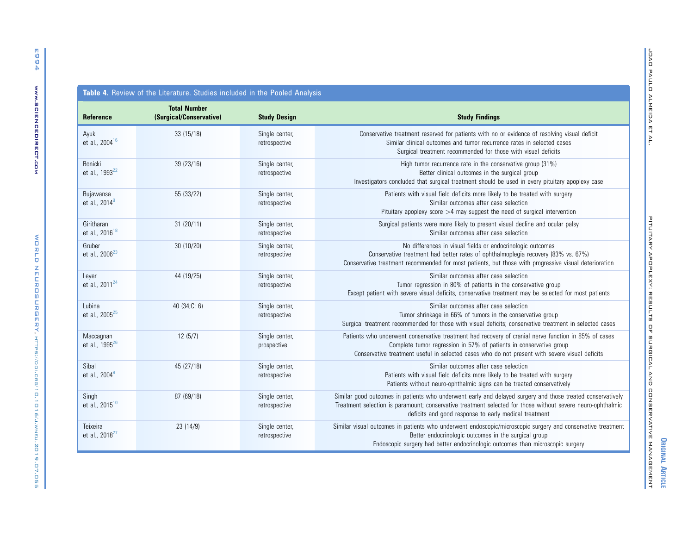| Reference                                | <b>Total Number</b><br>(Surgical/Conservative) | <b>Study Design</b>             | <b>Study Findings</b>                                                                                                                                                                                                                                                              |
|------------------------------------------|------------------------------------------------|---------------------------------|------------------------------------------------------------------------------------------------------------------------------------------------------------------------------------------------------------------------------------------------------------------------------------|
| Ayuk<br>et al., 2004 <sup>16</sup>       | 33 (15/18)                                     | Single center,<br>retrospective | Conservative treatment reserved for patients with no or evidence of resolving visual deficit<br>Similar clinical outcomes and tumor recurrence rates in selected cases<br>Surgical treatment recommended for those with visual deficits                                            |
| Bonicki<br>et al., 1993 <sup>22</sup>    | 39 (23/16)                                     | Single center,<br>retrospective | High tumor recurrence rate in the conservative group (31%)<br>Better clinical outcomes in the surgical group<br>Investigators concluded that surgical treatment should be used in every pituitary apoplexy case                                                                    |
| Bujawansa<br>et al., 2014 <sup>9</sup>   | 55 (33/22)                                     | Single center,<br>retrospective | Patients with visual field deficits more likely to be treated with surgery<br>Similar outcomes after case selection<br>Pituitary apoplexy score $>4$ may suggest the need of surgical intervention                                                                                 |
| Giritharan<br>et al., 2016 <sup>18</sup> | 31(20/11)                                      | Single center,<br>retrospective | Surgical patients were more likely to present visual decline and ocular palsy<br>Similar outcomes after case selection                                                                                                                                                             |
| Gruber<br>et al., 2006 <sup>23</sup>     | 30 (10/20)                                     | Single center,<br>retrospective | No differences in visual fields or endocrinologic outcomes<br>Conservative treatment had better rates of ophthalmoplegia recovery (83% vs. 67%)<br>Conservative treatment recommended for most patients, but those with progressive visual deterioration                           |
| Lever<br>et al., 2011 <sup>24</sup>      | 44 (19/25)                                     | Single center,<br>retrospective | Similar outcomes after case selection<br>Tumor regression in 80% of patients in the conservative group<br>Except patient with severe visual deficits, conservative treatment may be selected for most patients                                                                     |
| Lubina<br>et al., 2005 <sup>25</sup>     | 40 (34;C: 6)                                   | Single center,<br>retrospective | Similar outcomes after case selection<br>Tumor shrinkage in 66% of tumors in the conservative group<br>Surgical treatment recommended for those with visual deficits; conservative treatment in selected cases                                                                     |
| Maccagnan<br>et al., 1995 <sup>26</sup>  | 12(5/7)                                        | Single center,<br>prospective   | Patients who underwent conservative treatment had recovery of cranial nerve function in 85% of cases<br>Complete tumor regression in 57% of patients in conservative group<br>Conservative treatment useful in selected cases who do not present with severe visual deficits       |
| Sibal<br>et al., 2004 <sup>8</sup>       | 45 (27/18)                                     | Single center,<br>retrospective | Similar outcomes after case selection<br>Patients with visual field deficits more likely to be treated with surgery<br>Patients without neuro-ophthalmic signs can be treated conservatively                                                                                       |
| Singh<br>et al., 2015 <sup>10</sup>      | 87 (69/18)                                     | Single center,<br>retrospective | Similar good outcomes in patients who underwent early and delayed surgery and those treated conservatively<br>Treatment selection is paramount; conservative treatment selected for those without severe neuro-ophthalmic<br>deficits and good response to early medical treatment |
| Teixeira<br>et al., 2018 <sup>27</sup>   | 23 (14/9)                                      | Single center,<br>retrospective | Similar visual outcomes in patients who underwent endoscopic/microscopic surgery and conservative treatment<br>Better endocrinologic outcomes in the surgical group<br>Endoscopic surgery had better endocrinologic outcomes than microscopic surgery                              |

# <span id="page-6-0"></span>Table 4. Review of the Literature. Studies included in the Pooled Analysis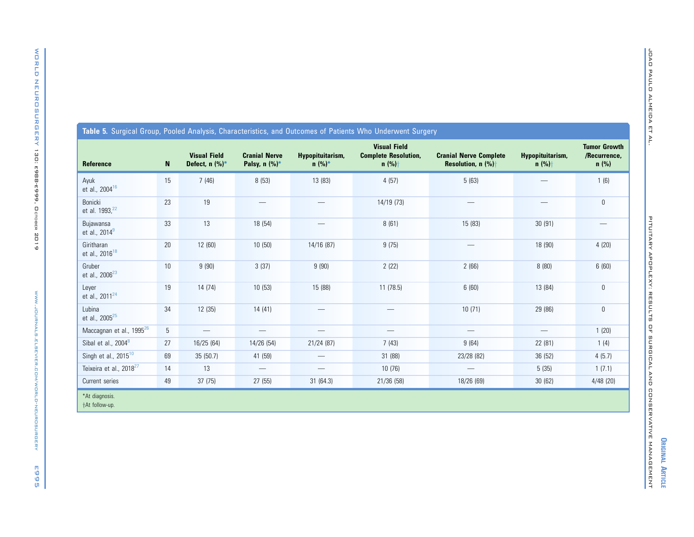| Table 5. Surgical Group, Pooled Analysis, Characteristics, and Outcomes of Patients Who Underwent Surgery |    |                                         |                                             |                                 |                                                                |                                                                |                                          |                                                |  |
|-----------------------------------------------------------------------------------------------------------|----|-----------------------------------------|---------------------------------------------|---------------------------------|----------------------------------------------------------------|----------------------------------------------------------------|------------------------------------------|------------------------------------------------|--|
| Reference                                                                                                 | N  | <b>Visual Field</b><br>Defect, $n$ (%)* | <b>Cranial Nerve</b><br>Palsy, $n$ $(\%)^*$ | Hypopituitarism,<br>$n (%)*$    | <b>Visual Field</b><br><b>Complete Resolution,</b><br>$n$ (%)+ | <b>Cranial Nerve Complete</b><br>Resolution, $n$ (%) $\dagger$ | Hypopituitarism,<br>$n$ (%) <sup>+</sup> | <b>Tumor Growth</b><br>/Recurrence,<br>$n$ (%) |  |
| Ayuk<br>et al., 2004 <sup>16</sup>                                                                        | 15 | 7(46)                                   | 8(53)                                       | 13 (83)                         | 4(57)                                                          | 5(63)                                                          |                                          | 1(6)                                           |  |
| Bonicki<br>et al. 1993, <sup>22</sup>                                                                     | 23 | 19                                      |                                             |                                 | 14/19 (73)                                                     |                                                                |                                          | $\mathbf 0$                                    |  |
| Bujawansa<br>et al., 2014 <sup>9</sup>                                                                    | 33 | 13                                      | 18 (54)                                     |                                 | 8(61)                                                          | 15 (83)                                                        | 30(91)                                   |                                                |  |
| Giritharan<br>et al., 2016 <sup>18</sup>                                                                  | 20 | 12(60)                                  | 10(50)                                      | 14/16 (87)                      | 9(75)                                                          |                                                                | 18 (90)                                  | 4(20)                                          |  |
| Gruber<br>et al., 2006 <sup>23</sup>                                                                      | 10 | 9(90)                                   | 3(37)                                       | 9(90)                           | 2(22)                                                          | 2(66)                                                          | 8(80)                                    | 6(60)                                          |  |
| Lever<br>et al., 2011 <sup>24</sup>                                                                       | 19 | 14(74)                                  | 10(53)                                      | 15 (88)                         | 11 (78.5)                                                      | 6(60)                                                          | 13 (84)                                  | $\mathbf 0$                                    |  |
| Lubina<br>et al., 2005 <sup>25</sup>                                                                      | 34 | 12(35)                                  | 14(41)                                      |                                 |                                                                | 10(71)                                                         | 29 (86)                                  | $\mathbf 0$                                    |  |
| Maccagnan et al., 1995 <sup>26</sup>                                                                      | 5  |                                         |                                             |                                 |                                                                |                                                                |                                          | 1(20)                                          |  |
| Sibal et al., $20048$                                                                                     | 27 | 16/25 (64)                              | 14/26 (54)                                  | 21/24 (87)                      | 7(43)                                                          | 9(64)                                                          | 22 (81)                                  | 1(4)                                           |  |
| Singh et al., 2015 <sup>10</sup>                                                                          | 69 | 35(50.7)                                | 41 (59)                                     | $\hspace{0.1mm}-\hspace{0.1mm}$ | 31 (88)                                                        | 23/28 (82)                                                     | 36 (52)                                  | 4(5.7)                                         |  |
| Teixeira et al., 2018 <sup>27</sup>                                                                       | 14 | 13                                      | $\hspace{0.1mm}-\hspace{0.1mm}$             | $\hspace{0.1mm}-\hspace{0.1mm}$ | 10(76)                                                         | $\hspace{0.1mm}-\hspace{0.1mm}$                                | 5(35)                                    | 1(7.1)                                         |  |
| Current series                                                                                            | 49 | 37(75)                                  | 27(55)                                      | 31(64.3)                        | 21/36(58)                                                      | 18/26 (69)                                                     | 30(62)                                   | 4/48 (20)                                      |  |

†At follow-up.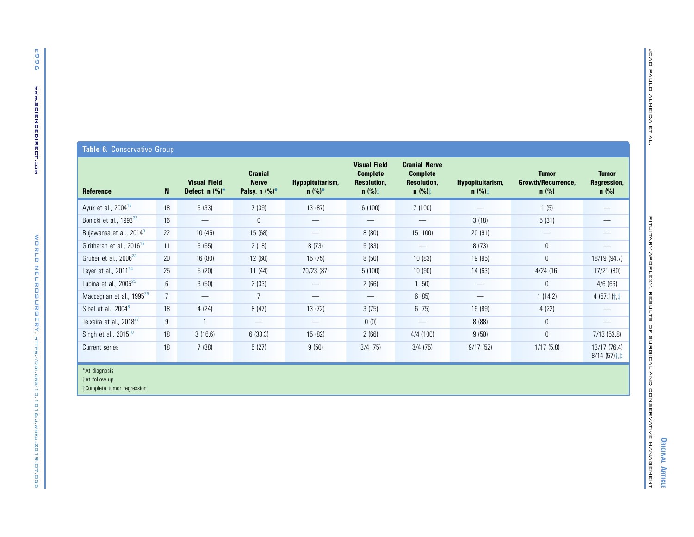# Table 6. Conservative Group

| Reference                             | N              | <b>Visual Field</b><br>Defect, $n (\%)^*$ | <b>Cranial</b><br><b>Nerve</b><br>Palsy, n (%)* | Hypopituitarism,<br>$n (%)*$    | <b>Visual Field</b><br><b>Complete</b><br>Resolution,<br>$\ln$ (%) $\pm$ | <b>Cranial Nerve</b><br><b>Complete</b><br><b>Resolution,</b><br>$n$ (%) $\ddagger$ | Hypopituitarism,<br>$n$ (%) $\pm$ | <b>Tumor</b><br><b>Growth/Recurrence,</b><br>$n$ (%) | <b>Tumor</b><br>Regression,<br>$n$ (%)                 |
|---------------------------------------|----------------|-------------------------------------------|-------------------------------------------------|---------------------------------|--------------------------------------------------------------------------|-------------------------------------------------------------------------------------|-----------------------------------|------------------------------------------------------|--------------------------------------------------------|
| Ayuk et al., 2004 <sup>16</sup>       | 18             | 6(33)                                     | 7(39)                                           | 13 (87)                         | 6(100)                                                                   | 7(100)                                                                              |                                   | 1(5)                                                 |                                                        |
| Bonicki et al., 1993 <sup>22</sup>    | 16             |                                           | $\mathbf{0}$                                    | $\hspace{0.1mm}-\hspace{0.1mm}$ |                                                                          |                                                                                     | 3(18)                             | 5(31)                                                |                                                        |
| Bujawansa et al., 2014 <sup>9</sup>   | 22             | 10(45)                                    | 15 (68)                                         |                                 | 8(80)                                                                    | 15 (100)                                                                            | 20(91)                            |                                                      |                                                        |
| Giritharan et al., 2016 <sup>18</sup> | 11             | 6(55)                                     | 2(18)                                           | 8(73)                           | 5(83)                                                                    |                                                                                     | 8(73)                             | 0                                                    |                                                        |
| Gruber et al., 2006 <sup>23</sup>     | 20             | 16(80)                                    | 12(60)                                          | 15(75)                          | 8(50)                                                                    | 10(83)                                                                              | 19 (95)                           | $\mathbf{0}$                                         | 18/19 (94.7)                                           |
| Leyer et al., $2011^{24}$             | 25             | 5(20)                                     | 11(44)                                          | 20/23 (87)                      | 5(100)                                                                   | 10(90)                                                                              | 14(63)                            | 4/24(16)                                             | 17/21(80)                                              |
| Lubina et al., $2005^{25}$            | 6              | 3(50)                                     | 2(33)                                           | -                               | 2(66)                                                                    | 1(50)                                                                               |                                   | $\mathbf{0}$                                         | 4/6(66)                                                |
| Maccagnan et al., 1995 <sup>26</sup>  | $\overline{7}$ |                                           | $\overline{7}$                                  | _                               |                                                                          | 6(85)                                                                               |                                   | 1(14.2)                                              | 4 $(57.1)$ ; $\ddagger$                                |
| Sibal et al., $2004^8$                | 18             | 4(24)                                     | 8(47)                                           | 13(72)                          | 3(75)                                                                    | 6(75)                                                                               | 16 (89)                           | 4(22)                                                |                                                        |
| Teixeira et al., 2018 <sup>27</sup>   | 9              |                                           | _                                               |                                 | 0(0)                                                                     | _                                                                                   | 8(88)                             | $\mathbf{0}$                                         | _                                                      |
| Singh et al., 2015 <sup>10</sup>      | 18             | 3(16.6)                                   | 6(33.3)                                         | 15 (82)                         | 2(66)                                                                    | 4/4(100)                                                                            | 9(50)                             | $\mathbf{0}$                                         | 7/13(53.8)                                             |
| Current series                        | 18             | 7(38)                                     | 5(27)                                           | 9(50)                           | 3/4(75)                                                                  | 3/4(75)                                                                             | 9/17(52)                          | 1/17(5.8)                                            | 13/17 (76.4)<br>$8/14(57)$ <sup>+</sup> , <sup>±</sup> |
| $X = 0$                               |                |                                           |                                                 |                                 |                                                                          |                                                                                     |                                   |                                                      |                                                        |

\*At diagnosis.

 $\dagger$ At follow-up. zComplete tumor regression.

<span id="page-8-0"></span>e996 WWW.SCIENCEDIRECT.com www.Science.com<br>Www.Science.com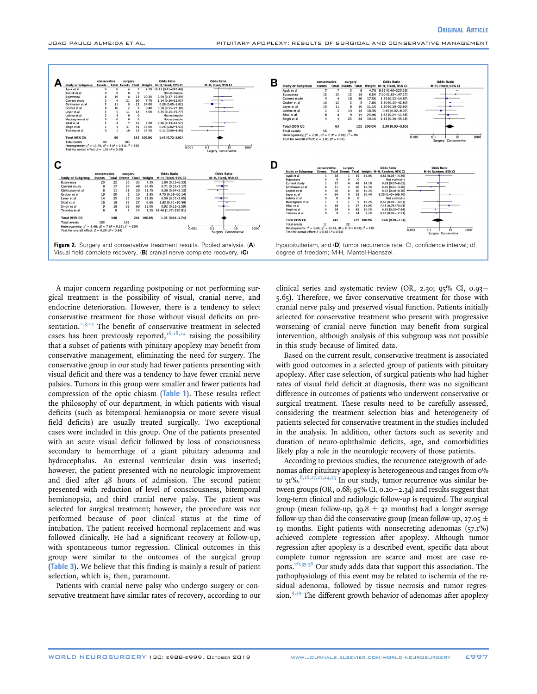<span id="page-9-0"></span>

A major concern regarding postponing or not performing surgical treatment is the possibility of visual, cranial nerve, and endocrine deterioration. However, there is a tendency to select conservative treatment for those without visual deficits on pre-sentation.<sup>[2,3,14](#page-10-0)</sup> The benefit of conservative treatment in selected cases has been previously reported, $16-18,24$  raising the possibility that a subset of patients with pituitary apoplexy may benefit from conservative management, eliminating the need for surgery. The conservative group in our study had fewer patients presenting with visual deficit and there was a tendency to have fewer cranial nerve palsies. Tumors in this group were smaller and fewer patients had compression of the optic chiasm ([Table 1](#page-4-0)). These results reflect the philosophy of our department, in which patients with visual deficits (such as bitemporal hemianopsia or more severe visual field deficits) are usually treated surgically. Two exceptional cases were included in this group. One of the patients presented with an acute visual deficit followed by loss of consciousness secondary to hemorrhage of a giant pituitary adenoma and hydrocephalus. An external ventricular drain was inserted; however, the patient presented with no neurologic improvement and died after 48 hours of admission. The second patient presented with reduction of level of consciousness, bitemporal hemianopsia, and third cranial nerve palsy. The patient was selected for surgical treatment; however, the procedure was not performed because of poor clinical status at the time of intubation. The patient received hormonal replacement and was followed clinically. He had a significant recovery at follow-up, with spontaneous tumor regression. Clinical outcomes in this group were similar to the outcomes of the surgical group ([Table 3](#page-5-0)). We believe that this finding is mainly a result of patient selection, which is, then, paramount.

Patients with cranial nerve palsy who undergo surgery or conservative treatment have similar rates of recovery, according to our clinical series and systematic review (OR, 2.30;  $95\%$  CI, 0.93– 5.65). Therefore, we favor conservative treatment for those with cranial nerve palsy and preserved visual function. Patients initially selected for conservative treatment who present with progressive worsening of cranial nerve function may benefit from surgical intervention, although analysis of this subgroup was not possible in this study because of limited data.

Based on the current result, conservative treatment is associated with good outcomes in a selected group of patients with pituitary apoplexy. After case selection, of surgical patients who had higher rates of visual field deficit at diagnosis, there was no significant difference in outcomes of patients who underwent conservative or surgical treatment. These results need to be carefully assessed, considering the treatment selection bias and heterogeneity of patients selected for conservative treatment in the studies included in the analysis. In addition, other factors such as severity and duration of neuro-ophthalmic deficits, age, and comorbidities likely play a role in the neurologic recovery of those patients.

According to previous studies, the recurrence rate/growth of adenomas after pituitary apoplexy is heterogeneous and ranges from 0% to  $31\%$ .  $8,16,17,23,24,35$  In our study, tumor recurrence was similar between groups (OR,  $0.68$ ;  $95\%$  CI,  $0.20 - 2.34$ ) and results suggest that long-term clinical and radiologic follow-up is required. The surgical group (mean follow-up, 39.8  $\pm$  32 months) had a longer average follow-up than did the conservative group (mean follow-up,  $27.05 \pm 1$ 19 months. Eight patients with nonsecreting adenomas (57.1%) achieved complete regression after apoplexy. Although tumor regression after apoplexy is a described event, specific data about complete tumor regression are scarce and most are case reports. $20,35-38$  Our study adds data that support this association. The pathophysiology of this event may be related to ischemia of the residual adenoma, followed by tissue necrosis and tumor regres-sion.<sup>[9,39](#page-10-0)</sup> The different growth behavior of adenomas after apoplexy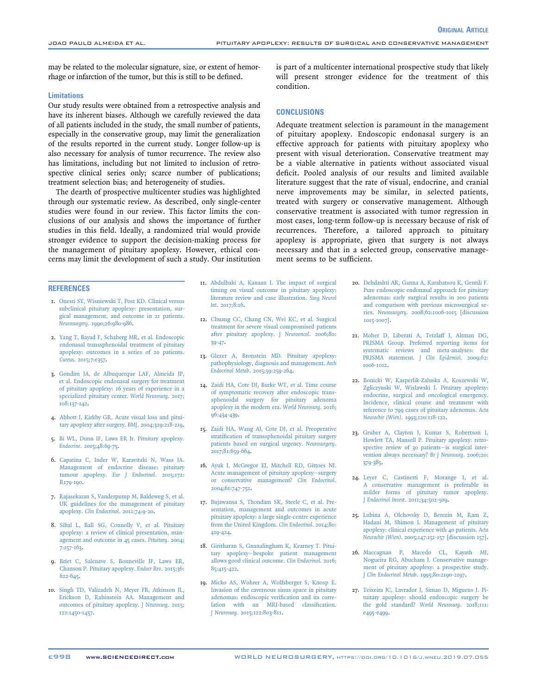<span id="page-10-0"></span>may be related to the molecular signature, size, or extent of hemorrhage or infarction of the tumor, but this is still to be defined.

### **Limitations**

Our study results were obtained from a retrospective analysis and have its inherent biases. Although we carefully reviewed the data of all patients included in the study, the small number of patients, especially in the conservative group, may limit the generalization of the results reported in the current study. Longer follow-up is also necessary for analysis of tumor recurrence. The review also has limitations, including but not limited to inclusion of retrospective clinical series only; scarce number of publications; treatment selection bias; and heterogeneity of studies.

The dearth of prospective multicenter studies was highlighted through our systematic review. As described, only single-center studies were found in our review. This factor limits the conclusions of our analysis and shows the importance of further studies in this field. Ideally, a randomized trial would provide stronger evidence to support the decision-making process for the management of pituitary apoplexy. However, ethical concerns may limit the development of such a study. Our institution

#### **REFERENCES**

- 1. [Onesti ST, Wisniewski T, Post KD. Clinical versus](http://refhub.elsevier.com/S1878-8750(19)31961-8/sref1) [subclinical pituitary apoplexy: presentation, sur](http://refhub.elsevier.com/S1878-8750(19)31961-8/sref1)[gical management, and outcome in 21 patients.](http://refhub.elsevier.com/S1878-8750(19)31961-8/sref1) Neurosurgery[. 1990;26:980-986.](http://refhub.elsevier.com/S1878-8750(19)31961-8/sref1)
- 2. [Yang T, Bayad F, Schaberg MR, et al. Endoscopic](http://refhub.elsevier.com/S1878-8750(19)31961-8/sref2) [endonasal transsphenoidal treatment of pituitary](http://refhub.elsevier.com/S1878-8750(19)31961-8/sref2) [apoplexy: outcomes in a series of 20 patients.](http://refhub.elsevier.com/S1878-8750(19)31961-8/sref2) Cureus[. 2015;7:e357](http://refhub.elsevier.com/S1878-8750(19)31961-8/sref2).
- 3. [Gondim JA, de Albuquerque LAF, Almeida JP,](http://refhub.elsevier.com/S1878-8750(19)31961-8/sref3) [et al. Endoscopic endonasal surgery for treatment](http://refhub.elsevier.com/S1878-8750(19)31961-8/sref3) [of pituitary apoplexy: 16 years of experience in a](http://refhub.elsevier.com/S1878-8750(19)31961-8/sref3) [specialized pituitary center.](http://refhub.elsevier.com/S1878-8750(19)31961-8/sref3) World Neurosurg. 2017; [108:137-142.](http://refhub.elsevier.com/S1878-8750(19)31961-8/sref3)
- 4. [Abbott J, Kirkby GR. Acute visual loss and pitui](http://refhub.elsevier.com/S1878-8750(19)31961-8/sref4)[tary apoplexy after surgery.](http://refhub.elsevier.com/S1878-8750(19)31961-8/sref4) BMJ. 2004;329:218-219.
- 5. [Bi WL, Dunn IF, Laws ER Jr. Pituitary apoplexy.](http://refhub.elsevier.com/S1878-8750(19)31961-8/sref5) Endocrine[. 2015;48:69-75](http://refhub.elsevier.com/S1878-8750(19)31961-8/sref5).
- 6. [Capatina C, Inder W, Karavitaki N, Wass JA.](http://refhub.elsevier.com/S1878-8750(19)31961-8/sref6) [Management of endocrine disease: pituitary](http://refhub.elsevier.com/S1878-8750(19)31961-8/sref6) [tumour apoplexy.](http://refhub.elsevier.com/S1878-8750(19)31961-8/sref6) Eur J Endocrinol. 2015;172: [R179-190.](http://refhub.elsevier.com/S1878-8750(19)31961-8/sref6)
- 7. [Rajasekaran S, Vanderpump M, Baldeweg S, et al.](http://refhub.elsevier.com/S1878-8750(19)31961-8/sref7) [UK guidelines for the management of pituitary](http://refhub.elsevier.com/S1878-8750(19)31961-8/sref7) apoplexy. Clin Endocrinol[. 2011;74:9-20.](http://refhub.elsevier.com/S1878-8750(19)31961-8/sref7)
- 8. [Sibal L, Ball SG, Connolly V, et al. Pituitary](http://refhub.elsevier.com/S1878-8750(19)31961-8/sref8) [apoplexy: a review of clinical presentation, man](http://refhub.elsevier.com/S1878-8750(19)31961-8/sref8)[agement and outcome in 45 cases.](http://refhub.elsevier.com/S1878-8750(19)31961-8/sref8) Pituitary. 2004; [7:157-163](http://refhub.elsevier.com/S1878-8750(19)31961-8/sref8).
- 9. [Briet C, Salenave S, Bonneville JF, Laws ER,](http://refhub.elsevier.com/S1878-8750(19)31961-8/sref9) [Chanson P. Pituitary apoplexy.](http://refhub.elsevier.com/S1878-8750(19)31961-8/sref9) Endocr Rev. 2015;36: [622-645.](http://refhub.elsevier.com/S1878-8750(19)31961-8/sref9)
- 10. [Singh TD, Valizadeh N, Meyer FB, Atkinson JL,](http://refhub.elsevier.com/S1878-8750(19)31961-8/sref10) [Erickson D, Rabinstein AA. Management and](http://refhub.elsevier.com/S1878-8750(19)31961-8/sref10) [outcomes of pituitary apoplexy.](http://refhub.elsevier.com/S1878-8750(19)31961-8/sref10) J Neurosurg. 2015; [122:1450-1457.](http://refhub.elsevier.com/S1878-8750(19)31961-8/sref10)

is part of a multicenter international prospective study that likely will present stronger evidence for the treatment of this condition.

**ORIGINAL ARTICLE** 

# **CONCLUSIONS**

Adequate treatment selection is paramount in the management of pituitary apoplexy. Endoscopic endonasal surgery is an effective approach for patients with pituitary apoplexy who present with visual deterioration. Conservative treatment may be a viable alternative in patients without associated visual deficit. Pooled analysis of our results and limited available literature suggest that the rate of visual, endocrine, and cranial nerve improvements may be similar, in selected patients, treated with surgery or conservative management. Although conservative treatment is associated with tumor regression in most cases, long-term follow-up is necessary because of risk of recurrences. Therefore, a tailored approach to pituitary apoplexy is appropriate, given that surgery is not always necessary and that in a selected group, conservative management seems to be sufficient.

- 11. [Abdulbaki A, Kanaan I. The impact of surgical](http://refhub.elsevier.com/S1878-8750(19)31961-8/sref11) [timing on visual outcome in pituitary apoplexy:](http://refhub.elsevier.com/S1878-8750(19)31961-8/sref11) [literature review and case illustration.](http://refhub.elsevier.com/S1878-8750(19)31961-8/sref11) Surg Neurol Int[. 2017;8:16.](http://refhub.elsevier.com/S1878-8750(19)31961-8/sref11)
- 12. [Chuang CC, Chang CN, Wei KC, et al. Surgical](http://refhub.elsevier.com/S1878-8750(19)31961-8/sref12) [treatment for severe visual compromised patients](http://refhub.elsevier.com/S1878-8750(19)31961-8/sref12) [after pituitary apoplexy.](http://refhub.elsevier.com/S1878-8750(19)31961-8/sref12) J Neurooncol. 2006;80: [39-47.](http://refhub.elsevier.com/S1878-8750(19)31961-8/sref12)
- 13. [Glezer A, Bronstein MD. Pituitary apoplexy:](http://refhub.elsevier.com/S1878-8750(19)31961-8/sref13) [pathophysiology, diagnosis and management.](http://refhub.elsevier.com/S1878-8750(19)31961-8/sref13) Arch Endocrinol Metab[. 2015;59:259-264](http://refhub.elsevier.com/S1878-8750(19)31961-8/sref13).
- 14. [Zaidi HA, Cote DJ, Burke WT, et al. Time course](http://refhub.elsevier.com/S1878-8750(19)31961-8/sref14) [of symptomatic recovery after endoscopic trans](http://refhub.elsevier.com/S1878-8750(19)31961-8/sref14)[sphenoidal surgery for pituitary adenoma](http://refhub.elsevier.com/S1878-8750(19)31961-8/sref14) [apoplexy in the modern era.](http://refhub.elsevier.com/S1878-8750(19)31961-8/sref14) World Neurosurg. 2016; [96:434-439](http://refhub.elsevier.com/S1878-8750(19)31961-8/sref14).
- 15. [Zaidi HA, Wang AJ, Cote DJ, et al. Preoperative](http://refhub.elsevier.com/S1878-8750(19)31961-8/sref15) stratifi[cation of transsphenoidal pituitary surgery](http://refhub.elsevier.com/S1878-8750(19)31961-8/sref15) [patients based on surgical urgency.](http://refhub.elsevier.com/S1878-8750(19)31961-8/sref15) Neurosurgery. [2017;81:659-664](http://refhub.elsevier.com/S1878-8750(19)31961-8/sref15).
- 16. [Ayuk J, McGregor EJ, Mitchell RD, Gittoes NJ.](http://refhub.elsevier.com/S1878-8750(19)31961-8/sref16) [Acute management of pituitary apoplexy](http://refhub.elsevier.com/S1878-8750(19)31961-8/sref16)-[surgery](http://refhub.elsevier.com/S1878-8750(19)31961-8/sref16) [or conservative management?](http://refhub.elsevier.com/S1878-8750(19)31961-8/sref16) Clin Endocrinol. [2004;61:747-752.](http://refhub.elsevier.com/S1878-8750(19)31961-8/sref16)
- 17. [Bujawansa S, Thondam SK, Steele C, et al. Pre](http://refhub.elsevier.com/S1878-8750(19)31961-8/sref17)[sentation, management and outcomes in acute](http://refhub.elsevier.com/S1878-8750(19)31961-8/sref17) [pituitary apoplexy: a large single-centre experience](http://refhub.elsevier.com/S1878-8750(19)31961-8/sref17) [from the United Kingdom.](http://refhub.elsevier.com/S1878-8750(19)31961-8/sref17) Clin Endocrinol. 2014;80: [419-424](http://refhub.elsevier.com/S1878-8750(19)31961-8/sref17).
- 18. [Giritharan S, Gnanalingham K, Kearney T. Pitui](http://refhub.elsevier.com/S1878-8750(19)31961-8/sref18)[tary apoplexy](http://refhub.elsevier.com/S1878-8750(19)31961-8/sref18)-[bespoke patient management](http://refhub.elsevier.com/S1878-8750(19)31961-8/sref18) [allows good clinical outcome.](http://refhub.elsevier.com/S1878-8750(19)31961-8/sref18) Clin Endocrinol. 2016; [85:415-422](http://refhub.elsevier.com/S1878-8750(19)31961-8/sref18).
- 19. [Micko AS, Wohrer A, Wolfsberger S, Knosp E.](http://refhub.elsevier.com/S1878-8750(19)31961-8/sref19) [Invasion of the cavernous sinus space in pituitary](http://refhub.elsevier.com/S1878-8750(19)31961-8/sref19) [adenomas: endoscopic veri](http://refhub.elsevier.com/S1878-8750(19)31961-8/sref19)fication and its corre[lation with an MRI-based classi](http://refhub.elsevier.com/S1878-8750(19)31961-8/sref19)fication. J Neurosurg[. 2015;122:803-811](http://refhub.elsevier.com/S1878-8750(19)31961-8/sref19).
- 20. [Dehdashti AR, Ganna A, Karabatsou K, Gentili F.](http://refhub.elsevier.com/S1878-8750(19)31961-8/sref20) [Pure endoscopic endonasal approach for pituitary](http://refhub.elsevier.com/S1878-8750(19)31961-8/sref20) [adenomas: early surgical results in 200 patients](http://refhub.elsevier.com/S1878-8750(19)31961-8/sref20) [and comparison with previous microsurgical se](http://refhub.elsevier.com/S1878-8750(19)31961-8/sref20)ries. Neurosurgery[. 2008;62:1006-1015 \[discussion](http://refhub.elsevier.com/S1878-8750(19)31961-8/sref20) [1015-1007\]](http://refhub.elsevier.com/S1878-8750(19)31961-8/sref20).
- 21. [Moher D, Liberati A, Tetzlaff J, Altman DG,](http://refhub.elsevier.com/S1878-8750(19)31961-8/sref21) [PRISMA Group. Preferred reporting items for](http://refhub.elsevier.com/S1878-8750(19)31961-8/sref21) [systematic reviews and meta-analyses: the](http://refhub.elsevier.com/S1878-8750(19)31961-8/sref21) [PRISMA statement.](http://refhub.elsevier.com/S1878-8750(19)31961-8/sref21) J Clin Epidemiol. 2009;62: [1006-1012.](http://refhub.elsevier.com/S1878-8750(19)31961-8/sref21)
- 22. [Bonicki W, Kasperlik-Zaluska A, Koszewski W,](http://refhub.elsevier.com/S1878-8750(19)31961-8/sref22) [Zgliczynski W, Wislawski J. Pituitary apoplexy:](http://refhub.elsevier.com/S1878-8750(19)31961-8/sref22) [endocrine, surgical and oncological emergency.](http://refhub.elsevier.com/S1878-8750(19)31961-8/sref22) [Incidence, clinical course and treatment with](http://refhub.elsevier.com/S1878-8750(19)31961-8/sref22) [reference to 799 cases of pituitary adenomas.](http://refhub.elsevier.com/S1878-8750(19)31961-8/sref22) Acta Neurochir (Wien)[. 1993;120:118-122](http://refhub.elsevier.com/S1878-8750(19)31961-8/sref22).
- 23. [Gruber A, Clayton J, Kumar S, Robertson I,](http://refhub.elsevier.com/S1878-8750(19)31961-8/sref23) [Howlett TA, Mansell P. Pituitary apoplexy: retro](http://refhub.elsevier.com/S1878-8750(19)31961-8/sref23)spective review of  $30$  patients-[is surgical inter](http://refhub.elsevier.com/S1878-8750(19)31961-8/sref23)[vention always necessary?](http://refhub.elsevier.com/S1878-8750(19)31961-8/sref23) Br J Neurosurg. 2006;20: [379-385.](http://refhub.elsevier.com/S1878-8750(19)31961-8/sref23)
- 24. [Leyer C, Castinetti F, Morange I, et al.](http://refhub.elsevier.com/S1878-8750(19)31961-8/sref24) [A conservative management is preferable in](http://refhub.elsevier.com/S1878-8750(19)31961-8/sref24) [milder forms of pituitary tumor apoplexy.](http://refhub.elsevier.com/S1878-8750(19)31961-8/sref24) J Endocrinol Invest[. 2011;34:502-509](http://refhub.elsevier.com/S1878-8750(19)31961-8/sref24).
- 25. [Lubina A, Olchovsky D, Berezin M, Ram Z,](http://refhub.elsevier.com/S1878-8750(19)31961-8/sref25) [Hadani M, Shimon I. Management of pituitary](http://refhub.elsevier.com/S1878-8750(19)31961-8/sref25) [apoplexy: clinical experience with 40 patients.](http://refhub.elsevier.com/S1878-8750(19)31961-8/sref25) Acta Neurochir (Wien)[. 2005;147:151-157 \[discussion 157\]](http://refhub.elsevier.com/S1878-8750(19)31961-8/sref25).
- 26. [Maccagnan P, Macedo CL, Kayath MJ,](http://refhub.elsevier.com/S1878-8750(19)31961-8/sref26) [Nogueira RG, Abucham J. Conservative manage](http://refhub.elsevier.com/S1878-8750(19)31961-8/sref26)[ment of pituitary apoplexy: a prospective study.](http://refhub.elsevier.com/S1878-8750(19)31961-8/sref26) [J Clin Endocrinol Metab](http://refhub.elsevier.com/S1878-8750(19)31961-8/sref26). 1995;80:2190-2197.
- 27. [Teixeira JC, Lavrador J, Simao D, Miguens J. Pi](http://refhub.elsevier.com/S1878-8750(19)31961-8/sref27)[tuitary apoplexy: should endoscopic surgery be](http://refhub.elsevier.com/S1878-8750(19)31961-8/sref27) [the gold standard?](http://refhub.elsevier.com/S1878-8750(19)31961-8/sref27) World Neurosurg. 2018;111: [e495-e499.](http://refhub.elsevier.com/S1878-8750(19)31961-8/sref27)